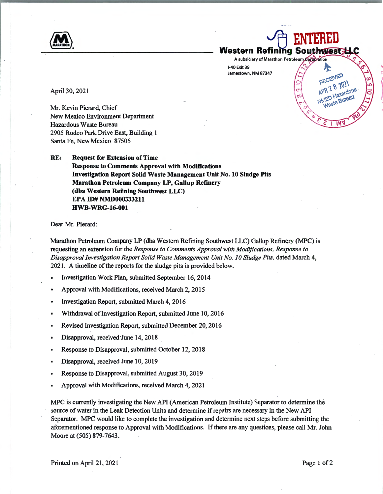**And ENTERED**<br>Western Refining Southwest **Western Refining Southwest LL** A subsidiary of Marathon Petroleum Corporation

 $\tilde{Q}$ 

'

术 RECEIVED APR 2 8 2021

APR 2 8 2021 **NED Hazardour**<br>Waste Bureau

light the property of the contract of

1-40 Exit 39 ~ Jamestown, NM 87347

April 30, 2021

Mr. Kevin Pierard, Chief New Mexico Environment Department Hazardous Waste Bureau 2905 Rodeo Park Drive East, Building 1 Santa Fe, New Mexico 87505

**RE: Request for Extension of Time Response to Comments Approval with Modifications Investigation Report Solid Waste Management Unit No. 10 Sludge Pits Marathon Petroleum Company LP, Gallup Refinery (dba Western Refining Southwest LLC) EPA ID# NMD000333211 HWB-WRG-16-001** 

Dear Mr. Pierard:

Marathon Petrolewn Company LP (dba Western Refining Southwest LLC) Gallup Refinery (MPC) is requesting an extension for the *Response to Comments Approval with Modifications, Response to Disapproval Investigation Report Solid Waste Management Unit No. JO Sludge Pits,* dated March 4, 2021. A timeline of the reports for the sludge pits is provided below.

- Investigation Work Plan, submitted September 16, 2014
- Approval with Modifications, received March 2, 2015
- Investigation Report, submitted March 4, 2016
- Withdrawal of Investigation Report, submitted June 10, 2016
- Revised Investigation Report, submitted December 20, 2016
- Disapproval, received June 14, 2018
- Response to Disapproval, submitted October 12, 2018
- Disapproval, received June 10, 2019
- Response to Disapproval, submitted August 30, 2019
- Approval with Modifications, received March 4, 2021

MPC is currently investigating the New API (American Petroleum Institute) Separator to determine the source of water in the Leak Detection Units and determine if repairs are necessary in the New API Separator. MPC would like to complete the investigation and determine next steps before submitting the aforementioned response to Approval with Modifications. If there are any questions, please call Mr. John Moore at (505) 879-7643.